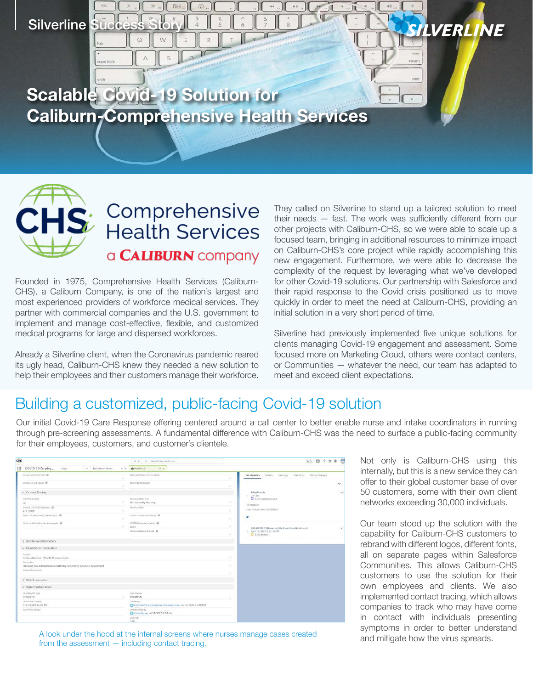Silverline Succe

**Scalable Covid-19 Solution for Caliburn-Comprehensive Health Services**

Comprehensive

**Health Services** 

a **CALIBURN** company

Founded in 1975, Comprehensive Health Services (Caliburn-CHS), a Caliburn Company, is one of the nation's largest and most experienced providers of workforce medical services. They partner with commercial companies and the U.S. government to implement and manage cost-effective, flexible, and customized medical programs for large and dispersed workforces.

Already a Silverline client, when the Coronavirus pandemic reared its ugly head, Caliburn-CHS knew they needed a new solution to help their employees and their customers manage their workforce.

They called on Silverline to stand up a tailored solution to meet their needs — fast. The work was sufficiently different from our other projects with Caliburn-CHS, so we were able to scale up a focused team, bringing in additional resources to minimize impact on Caliburn-CHS's core project while rapidly accomplishing this new engagement. Furthermore, we were able to decrease the complexity of the request by leveraging what we've developed for other Covid-19 solutions. Our partnership with Salesforce and their rapid response to the Covid crisis positioned us to move quickly in order to meet the need at Caliburn-CHS, providing an initial solution in a very short period of time.

Silverline had previously implemented five unique solutions for clients managing Covid-19 engagement and assessment. Some focused more on Marketing Cloud, others were contact centers, or Communities — whatever the need, our team has adapted to meet and exceed client expectations.

## Building a customized, public-facing Covid-19 solution

Our initial Covid-19 Care Response offering centered around a call center to better enable nurse and intake coordinators in running through pre-screening assessments. A fundamental difference with Caliburn-CHS was the need to surface a public-facing community for their employees, customers, and customer's clientele.

| CHS                                                                                        | G. Search Constant resen-<br>12.90                                       | <b>KH</b> 0 ? * * 8                                                               |
|--------------------------------------------------------------------------------------------|--------------------------------------------------------------------------|-----------------------------------------------------------------------------------|
| [ COVID-19 Employ<br>Cover<br>V Es Calissen Dams<br>WORL                                   | @ 00003015<br>$-1$                                                       |                                                                                   |
| bala at contents has a                                                                     | Estimated Helsen to Work Data                                            | Callogs<br>Status Changes<br>Finals<br>Test Posts<br>All Updates<br>×             |
| COVID-19 Tech Result @<br>×                                                                | <b>Return to Work Date</b>                                               | $\mathbf{C}^{\mathbf{s}}$<br>×                                                    |
| $\vee$ Contact Tracing                                                                     |                                                                          | $\bullet$<br>Jaliet Francis<br>$= 226$ aps                                        |
| execution.<br>G                                                                            | Wark Lissatter Type<br>Not Currently Working                             | Case Contact created<br>×<br>CC-000003                                            |
| Data of DOUGHT becomes: @<br>ar1/2020                                                      | Work Location                                                            | Caia Contact home (C-000001)<br>$\sim$                                            |
| Reparting purpose entity reflection would.<br>×                                            | COVID-19 assistants pare's @                                             | ٠<br>s                                                                            |
| Close contact with ather employees! @                                                      | <b>EDVED Exposure Location @</b><br>Work:                                | ×<br>$\overline{\phantom{a}}$<br>CHS COVID-19 Response Site Guest User (Costomer) |
|                                                                                            | Wantzalabera francisco O                                                 | > April 14, 2020 at 11-20 PM<br>Cities created<br>s                               |
| 3 Additional Information                                                                   |                                                                          |                                                                                   |
| $\leftrightarrow$ Description Information                                                  |                                                                          |                                                                                   |
| System<br>Andrew Bernard - COVID-19 Assessment                                             |                                                                          | ٠                                                                                 |
| <b>Description</b><br>This case was automatically created by completing an HCCB Assessment |                                                                          |                                                                                   |
| <b>Internet Generants</b>                                                                  |                                                                          |                                                                                   |
| > Web Information                                                                          |                                                                          |                                                                                   |
| v System Information                                                                       |                                                                          |                                                                                   |
| Catal Rendolf Table<br>COVID-19                                                            | <b>Elega District</b><br>COVID-19                                        |                                                                                   |
| Data (Time Quanet)<br>A/14/2020 11:20 PM                                                   | Corestity<br>A CHE COVID-19 Response The Quest Liser, 4/14/2020 11:20 PM |                                                                                   |
| than (Toyo Closed)                                                                         | List Modified By<br>Fe Chris Futum, 4/17/2020 9:58 AM                    |                                                                                   |
|                                                                                            | Con Age<br>2.00                                                          |                                                                                   |

A look under the hood at the internal screens where nurses manage cases created from the assessment — including contact tracing.

Not only is Caliburn-CHS using this internally, but this is a new service they can offer to their global customer base of over 50 customers, some with their own client networks exceeding 30,000 individuals.

LVERLINE

Our team stood up the solution with the capability for Caliburn-CHS customers to rebrand with different logos, different fonts, all on separate pages within Salesforce Communities. This allows Caliburn-CHS customers to use the solution for their own employees and clients. We also implemented contact tracing, which allows companies to track who may have come in contact with individuals presenting symptoms in order to better understand and mitigate how the virus spreads.